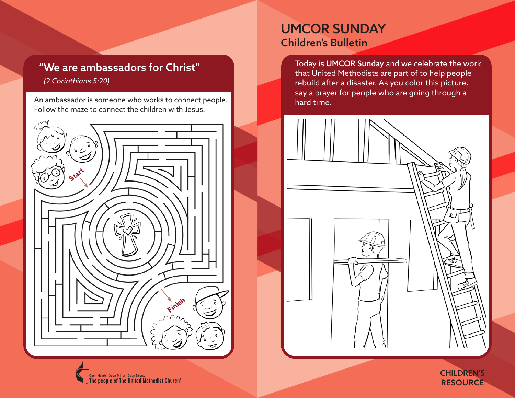# "We are ambassadors for Christ"

*(2 Corinthians 5:20)*

An ambassador is someone who works to connect people. Follow the maze to connect the children with Jesus.



## UMCOR SUNDAY Children's Bulletin

Today is UMCOR Sunday and we celebrate the work that United Methodists are part of to help people rebuild after a disaster. As you color this picture, say a prayer for people who are going through a hard time.